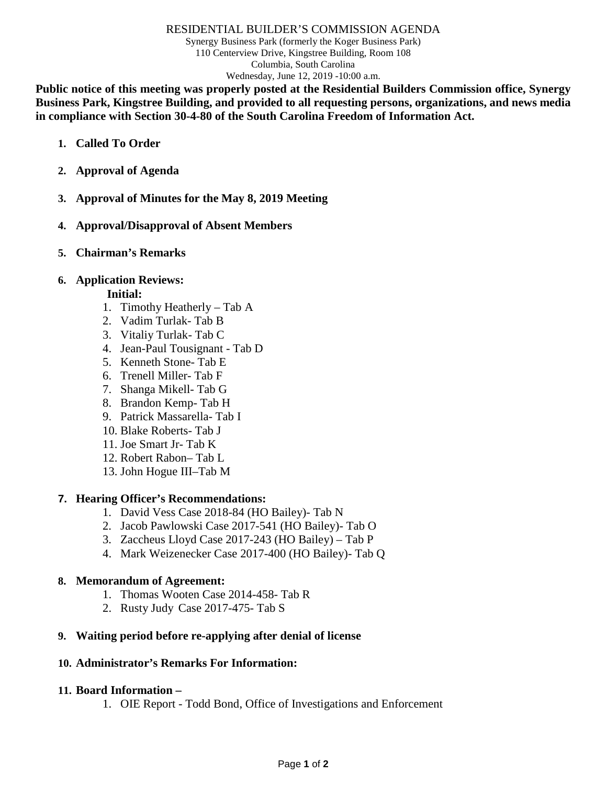#### RESIDENTIAL BUILDER'S COMMISSION AGENDA

Synergy Business Park (formerly the Koger Business Park) 110 Centerview Drive, Kingstree Building, Room 108 Columbia, South Carolina Wednesday, June 12, 2019 -10:00 a.m.

**Public notice of this meeting was properly posted at the Residential Builders Commission office, Synergy Business Park, Kingstree Building, and provided to all requesting persons, organizations, and news media in compliance with Section 30-4-80 of the South Carolina Freedom of Information Act.**

- **1. Called To Order**
- **2. Approval of Agenda**
- **3. Approval of Minutes for the May 8, 2019 Meeting**
- **4. Approval/Disapproval of Absent Members**
- **5. Chairman's Remarks**

## **6. Application Reviews:**

## **Initial:**

- 1. Timothy Heatherly Tab A
- 2. Vadim Turlak- Tab B
- 3. Vitaliy Turlak- Tab C
- 4. Jean-Paul Tousignant Tab D
- 5. Kenneth Stone- Tab E
- 6. Trenell Miller- Tab F
- 7. Shanga Mikell- Tab G
- 8. Brandon Kemp- Tab H
- 9. Patrick Massarella- Tab I
- 10. Blake Roberts- Tab J
- 11. Joe Smart Jr- Tab K
- 12. Robert Rabon– Tab L
- 13. John Hogue III–Tab M

### **7. Hearing Officer's Recommendations:**

- 1. David Vess Case 2018-84 (HO Bailey)- Tab N
- 2. Jacob Pawlowski Case 2017-541 (HO Bailey)- Tab O
- 3. Zaccheus Lloyd Case 2017-243 (HO Bailey) Tab P
- 4. Mark Weizenecker Case 2017-400 (HO Bailey)- Tab Q

## **8. Memorandum of Agreement:**

- 1. Thomas Wooten Case 2014-458- Tab R
- 2. Rusty Judy Case 2017-475- Tab S

### **9. Waiting period before re-applying after denial of license**

### **10. Administrator's Remarks For Information:**

### **11. Board Information –**

1. OIE Report - Todd Bond, Office of Investigations and Enforcement